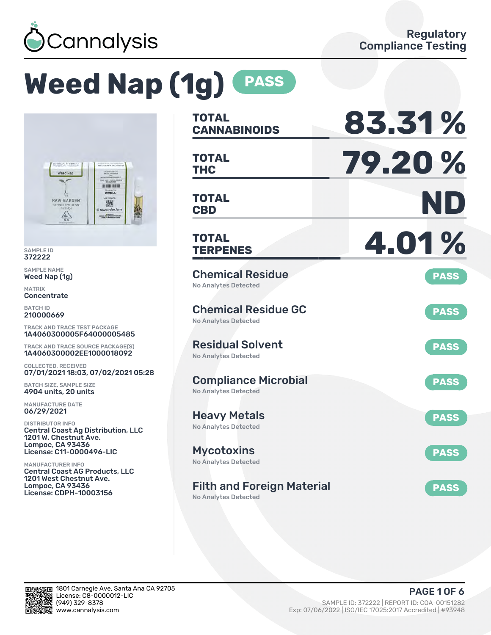

# **Weed Nap (1g) PASS**



SAMPLE ID 372222

SAMPLE NAME Weed Nap (1g)

MATRIX **Concentrate** 

BATCH ID 210000669

TRACK AND TRACE TEST PACKAGE 1A4060300005F64000005485

TRACK AND TRACE SOURCE PACKAGE(S) 1A4060300002EE1000018092

COLLECTED, RECEIVED 07/01/2021 18:03, 07/02/2021 05:28

BATCH SIZE, SAMPLE SIZE 4904 units, 20 units

MANUFACTURE DATE 06/29/2021

DISTRIBUTOR INFO Central Coast Ag Distribution, LLC 1201 W. Chestnut Ave. Lompoc, CA 93436 License: C11-0000496-LIC

MANUFACTURER INFO Central Coast AG Products, LLC 1201 West Chestnut Ave. Lompoc, CA 93436 License: CDPH-10003156

| <b>TOTAL</b><br><b>CANNABINOIDS</b>                        | 83.31%      |
|------------------------------------------------------------|-------------|
| <b>TOTAL</b><br><b>THC</b>                                 | 79.20%      |
| <b>TOTAL</b><br><b>CBD</b>                                 | ND          |
| <b>TOTAL</b><br><b>TERPENES</b>                            | 4.01%       |
| <b>Chemical Residue</b><br><b>No Analytes Detected</b>     | <b>PASS</b> |
| <b>Chemical Residue GC</b><br><b>No Analytes Detected</b>  | <b>PASS</b> |
| <b>Residual Solvent</b><br><b>No Analytes Detected</b>     | <b>PASS</b> |
| <b>Compliance Microbial</b><br><b>No Analytes Detected</b> | <b>PASS</b> |
| <b>Heavy Metals</b><br><b>No Analytes Detected</b>         | <b>PASS</b> |
| <b>Mycotoxins</b><br>No Analytes Detected                  | <b>PASS</b> |
| <b>Filth and Foreign Material</b>                          | <b>PASS</b> |

No Analytes Detected

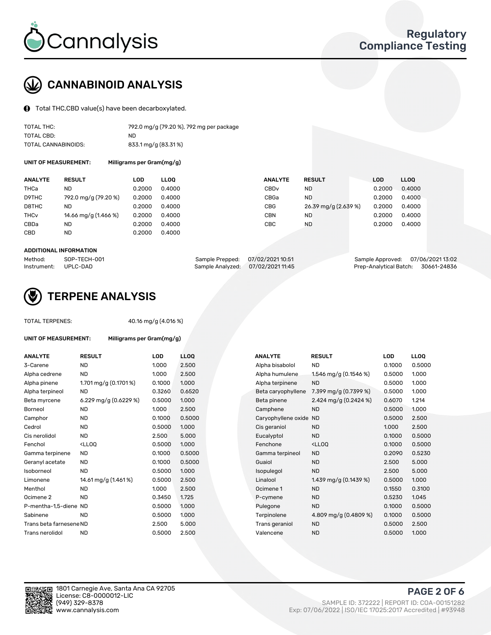

## CANNABINOID ANALYSIS

Total THC,CBD value(s) have been decarboxylated.

| TOTAL THC:          | 792.0 mg/g (79.20 %), 792 mg per package |
|---------------------|------------------------------------------|
| TOTAL CBD:          | ND.                                      |
| TOTAL CANNABINOIDS: | 833.1 mg/g (83.31%)                      |

UNIT OF MEASUREMENT: Milligrams per Gram(mg/g)

| <b>ANALYTE</b>         | <b>RESULT</b>        | LOD    | <b>LLOO</b> | <b>ANALYTE</b>   | <b>RESULT</b>        | <b>LOD</b> | <b>LLOO</b> |
|------------------------|----------------------|--------|-------------|------------------|----------------------|------------|-------------|
| THCa                   | ND                   | 0.2000 | 0.4000      | CBD <sub>v</sub> | ND                   | 0.2000     | 0.4000      |
| D9THC                  | 792.0 mg/g (79.20 %) | 0.2000 | 0.4000      | CBGa             | ND                   | 0.2000     | 0.4000      |
| D8THC                  | ND                   | 0.2000 | 0.4000      | CBG              | 26.39 mg/g (2.639 %) | 0.2000     | 0.4000      |
| <b>THC<sub>v</sub></b> | 14.66 mg/g (1.466 %) | 0.2000 | 0.4000      | CBN              | ND                   | 0.2000     | 0.4000      |
| CBDa                   | <b>ND</b>            | 0.2000 | 0.4000      | <b>CBC</b>       | ND                   | 0.2000     | 0.4000      |
| CBD                    | <b>ND</b>            | 0.2000 | 0.4000      |                  |                      |            |             |
|                        |                      |        |             |                  |                      |            |             |

#### ADDITIONAL INFORMATION

| Method:              | SOP-TECH-001 | Sample Prepped: 07/02/2021 10:51 |                                   | Sample Approved: 07/06/2021 13:02  |  |
|----------------------|--------------|----------------------------------|-----------------------------------|------------------------------------|--|
| Instrument: UPLC-DAD |              |                                  | Sample Analyzed: 07/02/2021 11:45 | Prep-Analytical Batch: 30661-24836 |  |



## TERPENE ANALYSIS

| <b>TOTAL TERPENES:</b>  |                                                    | 40.16 mg/g (4.016 %) |                   |  |  |  |  |
|-------------------------|----------------------------------------------------|----------------------|-------------------|--|--|--|--|
| UNIT OF MEASUREMENT:    | Milligrams per Gram(mg/g)                          |                      |                   |  |  |  |  |
| <b>ANALYTE</b>          | <b>RESULT</b>                                      | LOD                  | LL <sub>O</sub> C |  |  |  |  |
| 3-Carene                | <b>ND</b>                                          | 1.000                | 2.50(             |  |  |  |  |
| Alpha cedrene           | <b>ND</b>                                          | 1.000                | 2.50              |  |  |  |  |
| Alpha pinene            | 1.701 mg/g $(0.1701\%)$                            | 0.1000               | 1.000             |  |  |  |  |
| Alpha terpineol         | <b>ND</b>                                          | 0.3260               | 0.65              |  |  |  |  |
| Beta myrcene            | 6.229 mg/g $(0.6229\%)$                            | 0.5000               | 1.000             |  |  |  |  |
| Borneol                 | <b>ND</b>                                          | 1.000                | 2.50              |  |  |  |  |
| Camphor                 | <b>ND</b>                                          | 0.1000               | 0.50              |  |  |  |  |
| Cedrol                  | <b>ND</b>                                          | 0.5000               | 1.000             |  |  |  |  |
| Cis nerolidol           | <b>ND</b>                                          | 2.500                | 5.00              |  |  |  |  |
| Fenchol                 | <lloq< td=""><td>0.5000</td><td>1.000</td></lloq<> | 0.5000               | 1.000             |  |  |  |  |
| Gamma terpinene         | <b>ND</b>                                          | 0.1000               | 0.50              |  |  |  |  |
| Geranyl acetate         | <b>ND</b>                                          | 0.1000               | 0.50              |  |  |  |  |
| Isoborneol              | <b>ND</b>                                          | 0.5000               | 1.000             |  |  |  |  |
| Limonene                | 14.61 mg/g (1.461%)                                | 0.5000               | 2.50              |  |  |  |  |
| Menthol                 | <b>ND</b>                                          | 1.000                | 2.50(             |  |  |  |  |
| Ocimene 2               | <b>ND</b>                                          | 0.3450               | 1.725             |  |  |  |  |
| P-mentha-1,5-diene ND   |                                                    | 0.5000               | 1.00(             |  |  |  |  |
| Sabinene                | <b>ND</b>                                          | 0.5000               | 1.000             |  |  |  |  |
| Trans beta farnesene ND |                                                    | 2.500                | 5.00              |  |  |  |  |
| Trans nerolidol         | <b>ND</b>                                          | 0.5000               | 2.50(             |  |  |  |  |
|                         |                                                    |                      |                   |  |  |  |  |

| <b>ANALYTE</b>          | <b>RESULT</b>                                                                                                                   | <b>LOD</b> | <b>LLOQ</b> | <b>ANALYTE</b>      | <b>RESULT</b>                                       | LOD    | <b>LLOQ</b> |
|-------------------------|---------------------------------------------------------------------------------------------------------------------------------|------------|-------------|---------------------|-----------------------------------------------------|--------|-------------|
| 3-Carene                | <b>ND</b>                                                                                                                       | 1.000      | 2.500       | Alpha bisabolol     | <b>ND</b>                                           | 0.1000 | 0.5000      |
| Alpha cedrene           | <b>ND</b>                                                                                                                       | 1.000      | 2.500       | Alpha humulene      | 1.546 mg/g $(0.1546%)$                              | 0.5000 | 1.000       |
| Alpha pinene            | 1.701 mg/g $(0.1701\%)$                                                                                                         | 0.1000     | 1.000       | Alpha terpinene     | <b>ND</b>                                           | 0.5000 | 1.000       |
| Alpha terpineol         | ND                                                                                                                              | 0.3260     | 0.6520      | Beta caryophyllene  | 7.399 mg/g (0.7399 %)                               | 0.5000 | 1.000       |
| Beta myrcene            | 6.229 mg/g $(0.6229\%)$                                                                                                         | 0.5000     | 1.000       | Beta pinene         | 2.424 mg/g $(0.2424\%)$                             | 0.6070 | 1.214       |
| Borneol                 | <b>ND</b>                                                                                                                       | 1.000      | 2.500       | Camphene            | <b>ND</b>                                           | 0.5000 | 1.000       |
| Camphor                 | ND                                                                                                                              | 0.1000     | 0.5000      | Caryophyllene oxide | <b>ND</b>                                           | 0.5000 | 2.500       |
| Cedrol                  | <b>ND</b>                                                                                                                       | 0.5000     | 1.000       | Cis geraniol        | <b>ND</b>                                           | 1.000  | 2.500       |
| Cis nerolidol           | <b>ND</b>                                                                                                                       | 2.500      | 5.000       | Eucalyptol          | <b>ND</b>                                           | 0.1000 | 0.5000      |
| Fenchol                 | <lloq< td=""><td>0.5000</td><td>1.000</td><td>Fenchone</td><td><ll0q< td=""><td>0.1000</td><td>0.5000</td></ll0q<></td></lloq<> | 0.5000     | 1.000       | Fenchone            | <ll0q< td=""><td>0.1000</td><td>0.5000</td></ll0q<> | 0.1000 | 0.5000      |
| Gamma terpinene         | <b>ND</b>                                                                                                                       | 0.1000     | 0.5000      | Gamma terpineol     | <b>ND</b>                                           | 0.2090 | 0.5230      |
| Geranyl acetate         | <b>ND</b>                                                                                                                       | 0.1000     | 0.5000      | Guaiol              | <b>ND</b>                                           | 2.500  | 5.000       |
| Isoborneol              | <b>ND</b>                                                                                                                       | 0.5000     | 1.000       | Isopulegol          | <b>ND</b>                                           | 2.500  | 5.000       |
| Limonene                | 14.61 mg/g (1.461%)                                                                                                             | 0.5000     | 2.500       | Linalool            | 1.439 mg/g (0.1439 %)                               | 0.5000 | 1.000       |
| Menthol                 | ND.                                                                                                                             | 1.000      | 2.500       | Ocimene 1           | <b>ND</b>                                           | 0.1550 | 0.3100      |
| Ocimene 2               | <b>ND</b>                                                                                                                       | 0.3450     | 1.725       | P-cymene            | <b>ND</b>                                           | 0.5230 | 1.045       |
| P-mentha-1,5-diene ND   |                                                                                                                                 | 0.5000     | 1.000       | Pulegone            | <b>ND</b>                                           | 0.1000 | 0.5000      |
| Sabinene                | <b>ND</b>                                                                                                                       | 0.5000     | 1.000       | Terpinolene         | 4.809 mg/g (0.4809 %)                               | 0.1000 | 0.5000      |
| Trans beta farnesene ND |                                                                                                                                 | 2.500      | 5.000       | Trans geraniol      | <b>ND</b>                                           | 0.5000 | 2.500       |
| Trans nerolidol         | <b>ND</b>                                                                                                                       | 0.5000     | 2.500       | Valencene           | <b>ND</b>                                           | 0.5000 | 1.000       |



PAGE 2 OF 6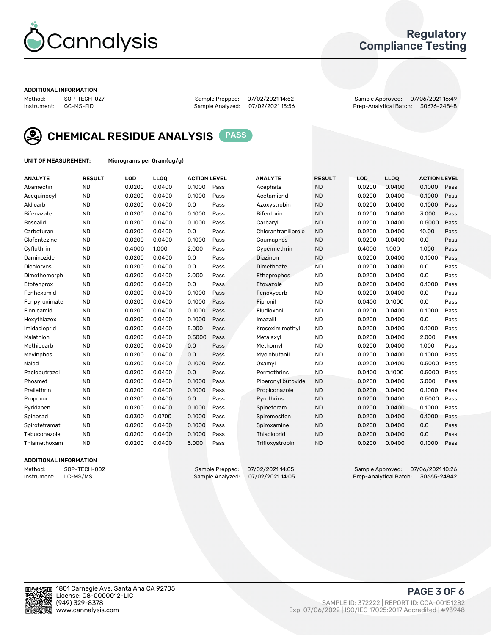

## Regulatory Compliance Testing

#### ADDITIONAL INFORMATION

| Method:     | SOP-TECH-02 |
|-------------|-------------|
| Instrument: | GC-MS-FID   |

Method: SOP-TECH-027 Sample Prepped: 07/02/2021 14:52 Sample Approved: 07/06/2021 16:49 Prep-Analytical Batch: 30676-24848



CHEMICAL RESIDUE ANALYSIS PASS

UNIT OF MEASUREMENT: Micrograms per Gram(ug/g)

| <b>ANALYTE</b>    | <b>RESULT</b> | LOD    | LLOQ   | <b>ACTION LEVEL</b> |      | <b>ANALYTE</b>      | <b>RESULT</b> | LOD    | <b>LLOQ</b> | <b>ACTION LEVEL</b> |      |
|-------------------|---------------|--------|--------|---------------------|------|---------------------|---------------|--------|-------------|---------------------|------|
| Abamectin         | <b>ND</b>     | 0.0200 | 0.0400 | 0.1000              | Pass | Acephate            | <b>ND</b>     | 0.0200 | 0.0400      | 0.1000              | Pass |
| Acequinocyl       | <b>ND</b>     | 0.0200 | 0.0400 | 0.1000              | Pass | Acetamiprid         | <b>ND</b>     | 0.0200 | 0.0400      | 0.1000              | Pass |
| Aldicarb          | <b>ND</b>     | 0.0200 | 0.0400 | 0.0                 | Pass | Azoxystrobin        | <b>ND</b>     | 0.0200 | 0.0400      | 0.1000              | Pass |
| Bifenazate        | <b>ND</b>     | 0.0200 | 0.0400 | 0.1000              | Pass | <b>Bifenthrin</b>   | <b>ND</b>     | 0.0200 | 0.0400      | 3.000               | Pass |
| <b>Boscalid</b>   | <b>ND</b>     | 0.0200 | 0.0400 | 0.1000              | Pass | Carbaryl            | <b>ND</b>     | 0.0200 | 0.0400      | 0.5000              | Pass |
| Carbofuran        | <b>ND</b>     | 0.0200 | 0.0400 | 0.0                 | Pass | Chlorantraniliprole | <b>ND</b>     | 0.0200 | 0.0400      | 10.00               | Pass |
| Clofentezine      | <b>ND</b>     | 0.0200 | 0.0400 | 0.1000              | Pass | Coumaphos           | <b>ND</b>     | 0.0200 | 0.0400      | 0.0                 | Pass |
| Cyfluthrin        | <b>ND</b>     | 0.4000 | 1.000  | 2.000               | Pass | Cypermethrin        | <b>ND</b>     | 0.4000 | 1.000       | 1.000               | Pass |
| Daminozide        | <b>ND</b>     | 0.0200 | 0.0400 | 0.0                 | Pass | Diazinon            | <b>ND</b>     | 0.0200 | 0.0400      | 0.1000              | Pass |
| <b>Dichlorvos</b> | <b>ND</b>     | 0.0200 | 0.0400 | 0.0                 | Pass | Dimethoate          | <b>ND</b>     | 0.0200 | 0.0400      | 0.0                 | Pass |
| Dimethomorph      | <b>ND</b>     | 0.0200 | 0.0400 | 2.000               | Pass | <b>Ethoprophos</b>  | <b>ND</b>     | 0.0200 | 0.0400      | 0.0                 | Pass |
| Etofenprox        | <b>ND</b>     | 0.0200 | 0.0400 | 0.0                 | Pass | Etoxazole           | <b>ND</b>     | 0.0200 | 0.0400      | 0.1000              | Pass |
| Fenhexamid        | <b>ND</b>     | 0.0200 | 0.0400 | 0.1000              | Pass | Fenoxycarb          | <b>ND</b>     | 0.0200 | 0.0400      | 0.0                 | Pass |
| Fenpyroximate     | <b>ND</b>     | 0.0200 | 0.0400 | 0.1000              | Pass | Fipronil            | <b>ND</b>     | 0.0400 | 0.1000      | 0.0                 | Pass |
| Flonicamid        | <b>ND</b>     | 0.0200 | 0.0400 | 0.1000              | Pass | Fludioxonil         | <b>ND</b>     | 0.0200 | 0.0400      | 0.1000              | Pass |
| Hexythiazox       | <b>ND</b>     | 0.0200 | 0.0400 | 0.1000              | Pass | Imazalil            | <b>ND</b>     | 0.0200 | 0.0400      | 0.0                 | Pass |
| Imidacloprid      | <b>ND</b>     | 0.0200 | 0.0400 | 5.000               | Pass | Kresoxim methyl     | <b>ND</b>     | 0.0200 | 0.0400      | 0.1000              | Pass |
| Malathion         | <b>ND</b>     | 0.0200 | 0.0400 | 0.5000              | Pass | Metalaxyl           | <b>ND</b>     | 0.0200 | 0.0400      | 2.000               | Pass |
| Methiocarb        | <b>ND</b>     | 0.0200 | 0.0400 | 0.0                 | Pass | Methomyl            | <b>ND</b>     | 0.0200 | 0.0400      | 1.000               | Pass |
| Mevinphos         | <b>ND</b>     | 0.0200 | 0.0400 | 0.0                 | Pass | Myclobutanil        | <b>ND</b>     | 0.0200 | 0.0400      | 0.1000              | Pass |
| Naled             | <b>ND</b>     | 0.0200 | 0.0400 | 0.1000              | Pass | Oxamyl              | <b>ND</b>     | 0.0200 | 0.0400      | 0.5000              | Pass |
| Paclobutrazol     | <b>ND</b>     | 0.0200 | 0.0400 | 0.0                 | Pass | Permethrins         | <b>ND</b>     | 0.0400 | 0.1000      | 0.5000              | Pass |
| Phosmet           | <b>ND</b>     | 0.0200 | 0.0400 | 0.1000              | Pass | Piperonyl butoxide  | <b>ND</b>     | 0.0200 | 0.0400      | 3.000               | Pass |
| Prallethrin       | <b>ND</b>     | 0.0200 | 0.0400 | 0.1000              | Pass | Propiconazole       | <b>ND</b>     | 0.0200 | 0.0400      | 0.1000              | Pass |
| Propoxur          | <b>ND</b>     | 0.0200 | 0.0400 | 0.0                 | Pass | Pyrethrins          | <b>ND</b>     | 0.0200 | 0.0400      | 0.5000              | Pass |
| Pyridaben         | <b>ND</b>     | 0.0200 | 0.0400 | 0.1000              | Pass | Spinetoram          | <b>ND</b>     | 0.0200 | 0.0400      | 0.1000              | Pass |
| Spinosad          | <b>ND</b>     | 0.0300 | 0.0700 | 0.1000              | Pass | Spiromesifen        | <b>ND</b>     | 0.0200 | 0.0400      | 0.1000              | Pass |
| Spirotetramat     | <b>ND</b>     | 0.0200 | 0.0400 | 0.1000              | Pass | Spiroxamine         | <b>ND</b>     | 0.0200 | 0.0400      | 0.0                 | Pass |
| Tebuconazole      | <b>ND</b>     | 0.0200 | 0.0400 | 0.1000              | Pass | Thiacloprid         | <b>ND</b>     | 0.0200 | 0.0400      | 0.0                 | Pass |
| Thiamethoxam      | <b>ND</b>     | 0.0200 | 0.0400 | 5.000               | Pass | Trifloxystrobin     | <b>ND</b>     | 0.0200 | 0.0400      | 0.1000              | Pass |

#### ADDITIONAL INFORMATION

Method: SOP-TECH-002 Sample Prepped: 07/02/202114:05 Sample Approved: 07/06/202110:26<br>Sample Analyzed: 07/02/202114:05 Prep-Analytical Batch: 30665-24842 Prep-Analytical Batch: 30665-24842

PAGE 3 OF 6

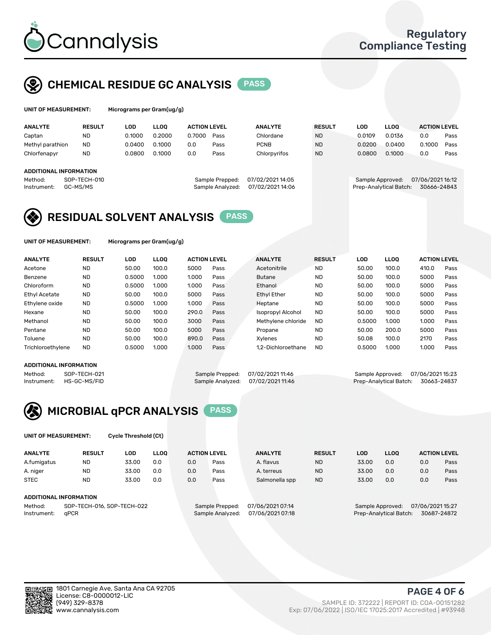

## CHEMICAL RESIDUE GC ANALYSIS PASS

| UNIT OF MEASUREMENT: | Mic |
|----------------------|-----|
|                      |     |

programs per Gram(ug/g<mark>):</mark>

| <b>ANALYTE</b>                | <b>RESULT</b> | LOD    | <b>LLOO</b> | <b>ACTION LEVEL</b> |                  | <b>ANALYTE</b>   | <b>RESULT</b>                       |  | LOD    | <b>LLOO</b>            | <b>ACTION LEVEL</b> |      |
|-------------------------------|---------------|--------|-------------|---------------------|------------------|------------------|-------------------------------------|--|--------|------------------------|---------------------|------|
| Captan                        | ND            | 0.1000 | 0.2000      | 0.7000              | Pass             | Chlordane        | <b>ND</b>                           |  | 0.0109 | 0.0136                 | 0.0                 | Pass |
| Methyl parathion              | <b>ND</b>     | 0.0400 | 0.1000      | 0.0                 | Pass             | <b>PCNB</b>      | <b>ND</b>                           |  | 0.0200 | 0.0400                 | 0.1000              | Pass |
| Chlorfenapyr                  | <b>ND</b>     | 0.0800 | 0.1000      | 0.0                 | Pass             | Chlorpyrifos     | <b>ND</b>                           |  | 0.0800 | 0.1000                 | 0.0                 | Pass |
| <b>ADDITIONAL INFORMATION</b> |               |        |             |                     |                  |                  |                                     |  |        |                        |                     |      |
|                               |               |        |             |                     |                  | 07/02/2021 14:05 |                                     |  |        |                        |                     |      |
| Method:                       | SOP-TECH-010  |        |             |                     | Sample Prepped:  |                  | 07/06/202116:12<br>Sample Approved: |  |        |                        |                     |      |
| Instrument:                   | GC-MS/MS      |        |             |                     | Sample Analyzed: | 07/02/202114:06  |                                     |  |        | Prep-Analytical Batch: | 30666-24843         |      |

## RESIDUAL SOLVENT ANALYSIS PASS

UNIT OF MEASUREMENT: Micrograms per Gram(ug/g)

| <b>ANALYTE</b>       | <b>RESULT</b> | LOD    | <b>LLOO</b> | <b>ACTION LEVEL</b> |      | <b>ANALYTE</b>           | <b>RESULT</b> | LOD    | LLOO  | <b>ACTION LEVEL</b> |      |
|----------------------|---------------|--------|-------------|---------------------|------|--------------------------|---------------|--------|-------|---------------------|------|
| Acetone              | <b>ND</b>     | 50.00  | 100.0       | 5000                | Pass | Acetonitrile             | <b>ND</b>     | 50.00  | 100.0 | 410.0               | Pass |
| Benzene              | <b>ND</b>     | 0.5000 | 1.000       | 1.000               | Pass | <b>Butane</b>            | <b>ND</b>     | 50.00  | 100.0 | 5000                | Pass |
| Chloroform           | <b>ND</b>     | 0.5000 | 1.000       | 1.000               | Pass | Ethanol                  | <b>ND</b>     | 50.00  | 100.0 | 5000                | Pass |
| <b>Ethyl Acetate</b> | <b>ND</b>     | 50.00  | 100.0       | 5000                | Pass | <b>Ethyl Ether</b>       | <b>ND</b>     | 50.00  | 100.0 | 5000                | Pass |
| Ethylene oxide       | <b>ND</b>     | 0.5000 | 1.000       | 1.000               | Pass | Heptane                  | <b>ND</b>     | 50.00  | 100.0 | 5000                | Pass |
| Hexane               | <b>ND</b>     | 50.00  | 100.0       | 290.0               | Pass | <b>Isopropyl Alcohol</b> | <b>ND</b>     | 50.00  | 100.0 | 5000                | Pass |
| Methanol             | <b>ND</b>     | 50.00  | 100.0       | 3000                | Pass | Methylene chloride       | <b>ND</b>     | 0.5000 | 1.000 | 1.000               | Pass |
| Pentane              | <b>ND</b>     | 50.00  | 100.0       | 5000                | Pass | Propane                  | <b>ND</b>     | 50.00  | 200.0 | 5000                | Pass |
| Toluene              | <b>ND</b>     | 50.00  | 100.0       | 890.0               | Pass | Xvlenes                  | <b>ND</b>     | 50.08  | 100.0 | 2170                | Pass |
| Trichloroethylene    | <b>ND</b>     | 0.5000 | 1.000       | 1.000               | Pass | 1.2-Dichloroethane       | <b>ND</b>     | 0.5000 | 1.000 | 1.000               | Pass |

#### ADDITIONAL INFORMATION

Method: SOP-TECH-021 Sample Prepped: 07/02/2021 11:46 Sample Approved: 07/06/2021 15:23<br>Sample Analyzed: 07/02/2021 11:46 Prep-Analytical Batch: 30663-24837 Prep-Analytical Batch: 30663-24837



UNIT OF MEASUREMENT: Cycle Threshold (Ct)

| <b>ANALYTE</b>                        | <b>RESULT</b>          | LOD   | <b>LLOO</b> |     | <b>ACTION LEVEL</b> | <b>ANALYTE</b>   | <b>RESULT</b> | LOD   | <b>LLOO</b>      |                  | <b>ACTION LEVEL</b> |
|---------------------------------------|------------------------|-------|-------------|-----|---------------------|------------------|---------------|-------|------------------|------------------|---------------------|
| A.fumigatus                           | <b>ND</b>              | 33.00 | 0.0         | 0.0 | Pass                | A. flavus        | <b>ND</b>     | 33.00 | 0.0              | 0.0              | Pass                |
| A. niger                              | <b>ND</b>              | 33.00 | 0.0         | 0.0 | Pass                | A. terreus       | <b>ND</b>     | 33.00 | 0.0              | 0.0              | Pass                |
| <b>STEC</b>                           | <b>ND</b>              | 33.00 | 0.0         | 0.0 | Pass                | Salmonella spp   | <b>ND</b>     | 33.00 | 0.0              | 0.0              | Pass                |
|                                       | ADDITIONAL INFORMATION |       |             |     |                     |                  |               |       |                  |                  |                     |
| Method:<br>SOP-TECH-016, SOP-TECH-022 |                        |       |             |     | Sample Prepped:     | 07/06/2021 07:14 |               |       | Sample Approved: | 07/06/2021 15:27 |                     |

Instrument: qPCR Sample Analyzed: 07/06/2021 07:18 Prep-Analytical Batch: 30687-24872

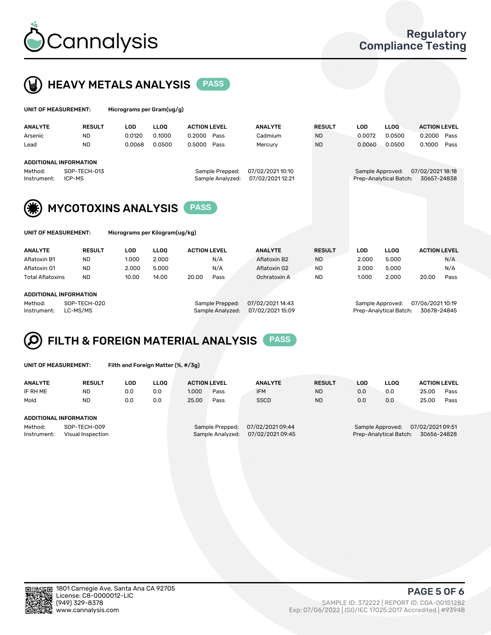



| UNIT OF MEASUREMENT:   |                        | Micrograms per Gram(ug/g) |             |                                     |                                      |               |        |                                            |                                 |      |
|------------------------|------------------------|---------------------------|-------------|-------------------------------------|--------------------------------------|---------------|--------|--------------------------------------------|---------------------------------|------|
| <b>ANALYTE</b>         | <b>RESULT</b>          | LOD                       | <b>LLOO</b> | <b>ACTION LEVEL</b>                 | <b>ANALYTE</b>                       | <b>RESULT</b> | LOD    | <b>LLOO</b>                                | <b>ACTION LEVEL</b>             |      |
| Arsenic                | <b>ND</b>              | 0.0120                    | 0.1000      | 0.2000<br>Pass                      | Cadmium                              | <b>ND</b>     | 0.0072 | 0.0500                                     | 0.2000                          | Pass |
| Lead                   | <b>ND</b>              | 0.0068                    | 0.0500      | 0.5000<br>Pass                      | Mercury                              | <b>ND</b>     | 0.0060 | 0.0500                                     | 0.1000                          | Pass |
|                        | ADDITIONAL INFORMATION |                           |             |                                     |                                      |               |        |                                            |                                 |      |
| Method:<br>Instrument: | SOP-TECH-013<br>ICP-MS |                           |             | Sample Prepped:<br>Sample Analyzed: | 07/02/2021 10:10<br>07/02/2021 12:21 |               |        | Sample Approved:<br>Prep-Analytical Batch: | 07/02/2021 18:18<br>30657-24838 |      |





MYCOTOXINS ANALYSIS PASS

Micrograms per Kilogram(ug/kg)

| <b>ANALYTE</b>          | <b>RESULT</b> | LOD   | <b>LLOO</b> | <b>ACTION LEVEL</b> |      | <b>ANALYTE</b> | <b>RESULT</b> | LOD   | <b>LLOO</b> | <b>ACTION LEVEL</b> |      |
|-------------------------|---------------|-------|-------------|---------------------|------|----------------|---------------|-------|-------------|---------------------|------|
| Aflatoxin B1            | <b>ND</b>     | 1.000 | 2.000       |                     | N/A  | Aflatoxin B2   | <b>ND</b>     | 2.000 | 5.000       |                     | N/A  |
| Aflatoxin G1            | <b>ND</b>     | 2.000 | 5.000       |                     | N/A  | Aflatoxin G2   | <b>ND</b>     | 2.000 | 5.000       |                     | N/A  |
| <b>Total Aflatoxins</b> | <b>ND</b>     | 10.00 | 14.00       | 20.00               | Pass | Ochratoxin A   | <b>ND</b>     | 1.000 | 2.000       | 20.00               | Pass |
|                         |               |       |             |                     |      |                |               |       |             |                     |      |

#### ADDITIONAL INFORMATION

Method: SOP-TECH-020 Sample Prepped: 07/02/2021 14:43 Sample Approved: 07/06/2021 10:19 Instrument: LC-MS/MS Sample Analyzed: 07/02/2021 15:09 Prep-Analytical Batch: 30678-24845

# FILTH & FOREIGN MATERIAL ANALYSIS PASS

UNIT OF MEASUREMENT: Filth and Foreign Matter (%, #/3g)

| <b>ANALYTE</b>                                              | <b>RESULT</b> | LOD | <b>LLOO</b> | <b>ACTION LEVEL</b>                 |      | <b>ANALYTE</b>                       | <b>RESULT</b> | LOD                                                                           | <b>LLOO</b> |       | <b>ACTION LEVEL</b> |  |
|-------------------------------------------------------------|---------------|-----|-------------|-------------------------------------|------|--------------------------------------|---------------|-------------------------------------------------------------------------------|-------------|-------|---------------------|--|
| IF RH ME                                                    | <b>ND</b>     | 0.0 | 0.0         | 1.000                               | Pass | <b>IFM</b>                           | <b>ND</b>     | 0.0                                                                           | 0.0         | 25.00 | Pass                |  |
| Mold                                                        | <b>ND</b>     | 0.0 | 0.0         | 25.00                               | Pass | <b>SSCD</b>                          | <b>ND</b>     | 0.0                                                                           | 0.0         | 25.00 | Pass                |  |
| ADDITIONAL INFORMATION                                      |               |     |             |                                     |      |                                      |               |                                                                               |             |       |                     |  |
| Method:<br>SOP-TECH-009<br>Instrument:<br>Visual Inspection |               |     |             | Sample Prepped:<br>Sample Analyzed: |      | 07/02/2021 09:44<br>07/02/2021 09:45 |               | 07/02/2021 09:51<br>Sample Approved:<br>30656-24828<br>Prep-Analytical Batch: |             |       |                     |  |



PAGE 5 OF 6